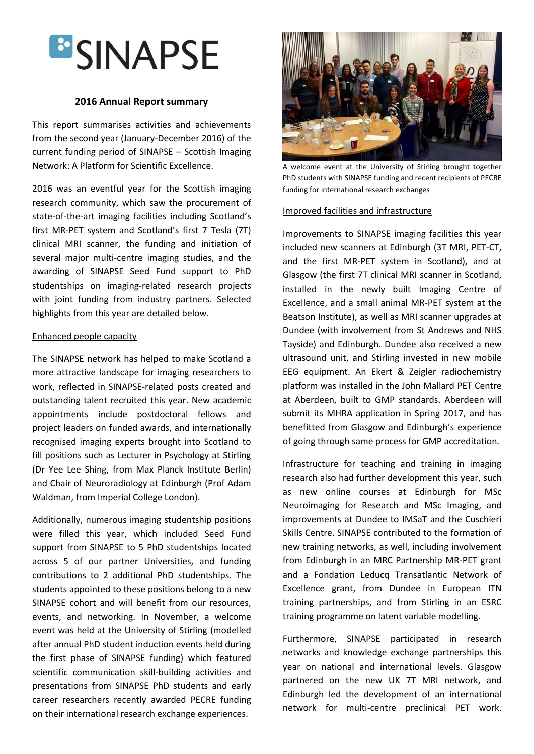# **ESINAPSE**

# **2016 Annual Report summary**

This report summarises activities and achievements from the second year (January-December 2016) of the current funding period of SINAPSE – Scottish Imaging Network: A Platform for Scientific Excellence.

2016 was an eventful year for the Scottish imaging research community, which saw the procurement of state-of-the-art imaging facilities including Scotland's first MR-PET system and Scotland's first 7 Tesla (7T) clinical MRI scanner, the funding and initiation of several major multi-centre imaging studies, and the awarding of SINAPSE Seed Fund support to PhD studentships on imaging-related research projects with joint funding from industry partners. Selected highlights from this year are detailed below.

## Enhanced people capacity

The SINAPSE network has helped to make Scotland a more attractive landscape for imaging researchers to work, reflected in SINAPSE-related posts created and outstanding talent recruited this year. New academic appointments include postdoctoral fellows and project leaders on funded awards, and internationally recognised imaging experts brought into Scotland to fill positions such as Lecturer in Psychology at Stirling (Dr Yee Lee Shing, from Max Planck Institute Berlin) and Chair of Neuroradiology at Edinburgh (Prof Adam Waldman, from Imperial College London).

Additionally, numerous imaging studentship positions were filled this year, which included Seed Fund support from SINAPSE to 5 PhD studentships located across 5 of our partner Universities, and funding contributions to 2 additional PhD studentships. The students appointed to these positions belong to a new SINAPSE cohort and will benefit from our resources, events, and networking. In November, a welcome event was held at the University of Stirling (modelled after annual PhD student induction events held during the first phase of SINAPSE funding) which featured scientific communication skill-building activities and presentations from SINAPSE PhD students and early career researchers recently awarded PECRE funding on their international research exchange experiences.



A welcome event at the University of Stirling brought together PhD students with SINAPSE funding and recent recipients of PECRE funding for international research exchanges

## Improved facilities and infrastructure

Improvements to SINAPSE imaging facilities this year included new scanners at Edinburgh (3T MRI, PET-CT, and the first MR-PET system in Scotland), and at Glasgow (the first 7T clinical MRI scanner in Scotland, installed in the newly built Imaging Centre of Excellence, and a small animal MR-PET system at the Beatson Institute), as well as MRI scanner upgrades at Dundee (with involvement from St Andrews and NHS Tayside) and Edinburgh. Dundee also received a new ultrasound unit, and Stirling invested in new mobile EEG equipment. An Ekert & Zeigler radiochemistry platform was installed in the John Mallard PET Centre at Aberdeen, built to GMP standards. Aberdeen will submit its MHRA application in Spring 2017, and has benefitted from Glasgow and Edinburgh's experience of going through same process for GMP accreditation.

Infrastructure for teaching and training in imaging research also had further development this year, such as new online courses at Edinburgh for MSc Neuroimaging for Research and MSc Imaging, and improvements at Dundee to IMSaT and the Cuschieri Skills Centre. SINAPSE contributed to the formation of new training networks, as well, including involvement from Edinburgh in an MRC Partnership MR-PET grant and a Fondation Leducq Transatlantic Network of Excellence grant, from Dundee in European ITN training partnerships, and from Stirling in an ESRC training programme on latent variable modelling.

Furthermore, SINAPSE participated in research networks and knowledge exchange partnerships this year on national and international levels. Glasgow partnered on the new UK 7T MRI network, and Edinburgh led the development of an international network for multi-centre preclinical PET work.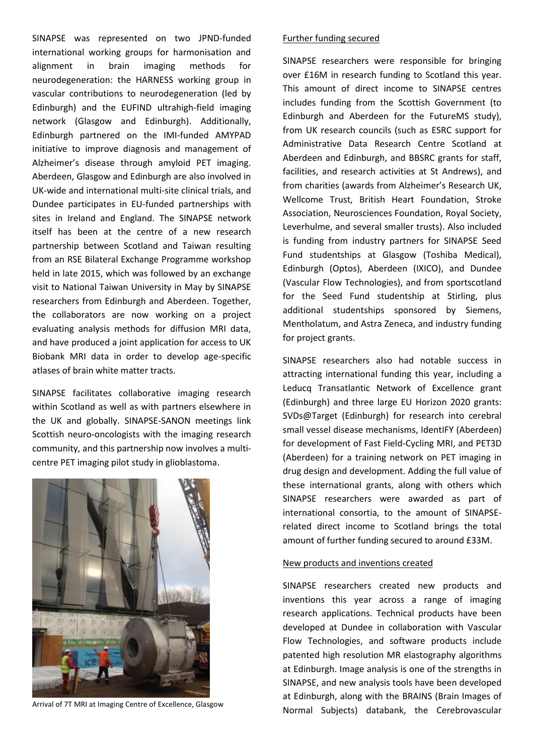SINAPSE was represented on two JPND-funded international working groups for harmonisation and alignment in brain imaging methods for neurodegeneration: the HARNESS working group in vascular contributions to neurodegeneration (led by Edinburgh) and the EUFIND ultrahigh-field imaging network (Glasgow and Edinburgh). Additionally, Edinburgh partnered on the IMI-funded AMYPAD initiative to improve diagnosis and management of Alzheimer's disease through amyloid PET imaging. Aberdeen, Glasgow and Edinburgh are also involved in UK-wide and international multi-site clinical trials, and Dundee participates in EU-funded partnerships with sites in Ireland and England. The SINAPSE network itself has been at the centre of a new research partnership between Scotland and Taiwan resulting from an RSE Bilateral Exchange Programme workshop held in late 2015, which was followed by an exchange visit to National Taiwan University in May by SINAPSE researchers from Edinburgh and Aberdeen. Together, the collaborators are now working on a project evaluating analysis methods for diffusion MRI data, and have produced a joint application for access to UK Biobank MRI data in order to develop age-specific atlases of brain white matter tracts.

SINAPSE facilitates collaborative imaging research within Scotland as well as with partners elsewhere in the UK and globally. SINAPSE-SANON meetings link Scottish neuro-oncologists with the imaging research community, and this partnership now involves a multicentre PET imaging pilot study in glioblastoma.



Arrival of 7T MRI at Imaging Centre of Excellence, Glasgow

#### Further funding secured

SINAPSE researchers were responsible for bringing over £16M in research funding to Scotland this year. This amount of direct income to SINAPSE centres includes funding from the Scottish Government (to Edinburgh and Aberdeen for the FutureMS study), from UK research councils (such as ESRC support for Administrative Data Research Centre Scotland at Aberdeen and Edinburgh, and BBSRC grants for staff, facilities, and research activities at St Andrews), and from charities (awards from Alzheimer's Research UK, Wellcome Trust, British Heart Foundation, Stroke Association, Neurosciences Foundation, Royal Society, Leverhulme, and several smaller trusts). Also included is funding from industry partners for SINAPSE Seed Fund studentships at Glasgow (Toshiba Medical), Edinburgh (Optos), Aberdeen (IXICO), and Dundee (Vascular Flow Technologies), and from sportscotland for the Seed Fund studentship at Stirling, plus additional studentships sponsored by Siemens, Mentholatum, and Astra Zeneca, and industry funding for project grants.

SINAPSE researchers also had notable success in attracting international funding this year, including a Leducq Transatlantic Network of Excellence grant (Edinburgh) and three large EU Horizon 2020 grants: SVDs@Target (Edinburgh) for research into cerebral small vessel disease mechanisms, IdentIFY (Aberdeen) for development of Fast Field-Cycling MRI, and PET3D (Aberdeen) for a training network on PET imaging in drug design and development. Adding the full value of these international grants, along with others which SINAPSE researchers were awarded as part of international consortia, to the amount of SINAPSErelated direct income to Scotland brings the total amount of further funding secured to around £33M.

#### New products and inventions created

SINAPSE researchers created new products and inventions this year across a range of imaging research applications. Technical products have been developed at Dundee in collaboration with Vascular Flow Technologies, and software products include patented high resolution MR elastography algorithms at Edinburgh. Image analysis is one of the strengths in SINAPSE, and new analysis tools have been developed at Edinburgh, along with the BRAINS (Brain Images of Normal Subjects) databank, the Cerebrovascular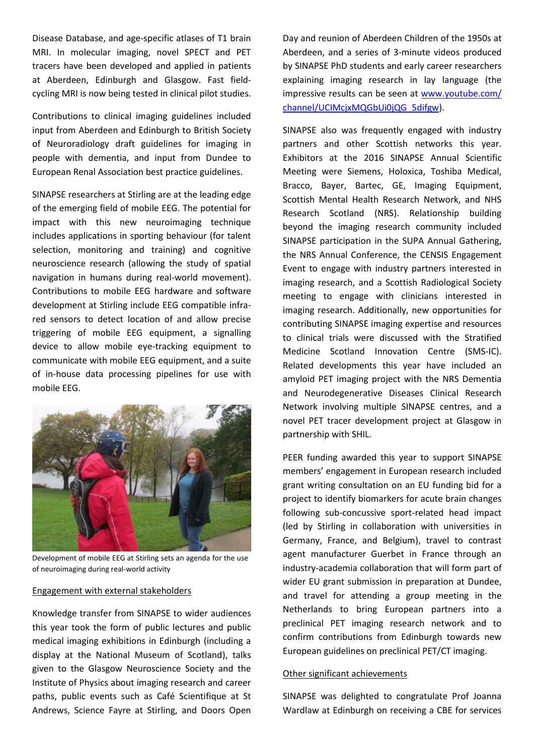Disease Database, and age-specific atlases of T1 brain MRI. In molecular imaging, novel SPECT and PET tracers have been developed and applied in patients at Aberdeen, Edinburgh and Glasgow. Fast fieldcycling MRI is now being tested in clinical pilot studies.

Contributions to clinical imaging guidelines included input from Aberdeen and Edinburgh to British Society of Neuroradiology draft guidelines for imaging in people with dementia, and input from Dundee to European Renal Association best practice guidelines.

SINAPSE researchers at Stirling are at the leading edge of the emerging field of mobile EEG. The potential for impact with this new neuroimaging technique includes applications in sporting behaviour (for talent selection, monitoring and training) and cognitive neuroscience research (allowing the study of spatial navigation in humans during real-world movement). Contributions to mobile EEG hardware and software development at Stirling include EEG compatible infrared sensors to detect location of and allow precise triggering of mobile EEG equipment, a signalling device to allow mobile eye-tracking equipment to communicate with mobile EEG equipment, and a suite of in-house data processing pipelines for use with mobile EEG.



Development of mobile EEG at Stirling sets an agenda for the use of neuroimaging during real-world activity

#### Engagement with external stakeholders

Knowledge transfer from SINAPSE to wider audiences this year took the form of public lectures and public medical imaging exhibitions in Edinburgh (including a display at the National Museum of Scotland), talks given to the Glasgow Neuroscience Society and the Institute of Physics about imaging research and career paths, public events such as Café Scientifique at St Andrews, Science Fayre at Stirling, and Doors Open Day and reunion of Aberdeen Children of the 1950s at Aberdeen, and a series of 3-minute videos produced by SINAPSE PhD students and early career researchers explaining imaging research in lay language (the impressive results can be seen at [www.youtube.com/](http://www.youtube.com/channel/UCIMcjxMQGbUi0jQG_5difgw) [channel/UCIMcjxMQGbUi0jQG\\_5difgw\)](http://www.youtube.com/channel/UCIMcjxMQGbUi0jQG_5difgw).

SINAPSE also was frequently engaged with industry partners and other Scottish networks this year. Exhibitors at the 2016 SINAPSE Annual Scientific Meeting were Siemens, Holoxica, Toshiba Medical, Bracco, Bayer, Bartec, GE, Imaging Equipment, Scottish Mental Health Research Network, and NHS Research Scotland (NRS). Relationship building beyond the imaging research community included SINAPSE participation in the SUPA Annual Gathering, the NRS Annual Conference, the CENSIS Engagement Event to engage with industry partners interested in imaging research, and a Scottish Radiological Society meeting to engage with clinicians interested in imaging research. Additionally, new opportunities for contributing SINAPSE imaging expertise and resources to clinical trials were discussed with the Stratified Medicine Scotland Innovation Centre (SMS-IC). Related developments this year have included an amyloid PET imaging project with the NRS Dementia and Neurodegenerative Diseases Clinical Research Network involving multiple SINAPSE centres, and a novel PET tracer development project at Glasgow in partnership with SHIL.

PEER funding awarded this year to support SINAPSE members' engagement in European research included grant writing consultation on an EU funding bid for a project to identify biomarkers for acute brain changes following sub-concussive sport-related head impact (led by Stirling in collaboration with universities in Germany, France, and Belgium), travel to contrast agent manufacturer Guerbet in France through an industry-academia collaboration that will form part of wider EU grant submission in preparation at Dundee, and travel for attending a group meeting in the Netherlands to bring European partners into a preclinical PET imaging research network and to confirm contributions from Edinburgh towards new European guidelines on preclinical PET/CT imaging.

### Other significant achievements

SINAPSE was delighted to congratulate Prof Joanna Wardlaw at Edinburgh on receiving a CBE for services